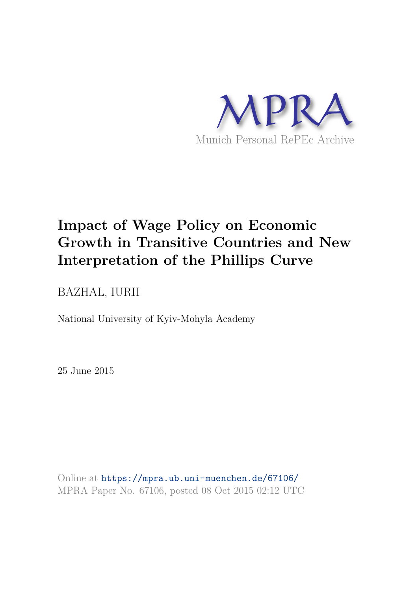

# **Impact of Wage Policy on Economic Growth in Transitive Countries and New Interpretation of the Phillips Curve**

BAZHAL, IURII

National University of Kyiv-Mohyla Academy

25 June 2015

Online at https://mpra.ub.uni-muenchen.de/67106/ MPRA Paper No. 67106, posted 08 Oct 2015 02:12 UTC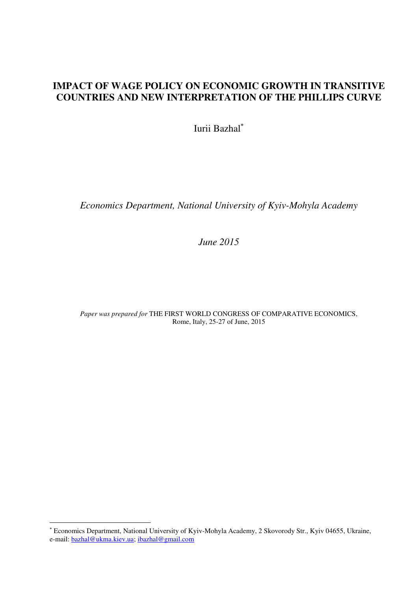# **IMPACT OF WAGE POLICY ON ECONOMIC GROWTH IN TRANSITIVE COUNTRIES AND NEW INTERPRETATION OF THE PHILLIPS CURVE**

Iurii Bazhal

*Economics Department, National University of Kyiv-Mohyla Academy* 

*June 2015* 

*Paper was prepared for* THE FIRST WORLD CONGRESS OF COMPARATIVE ECONOMICS, Rome, Italy, 25-27 of June, 2015

<u>.</u>

 Economics Department, National University of Kyiv-Mohyla Academy, 2 Skovorody Str., Kyiv 04655, Ukraine, e-mail[: bazhal@ukma.kiev.ua;](mailto:bazhal@ukma.kiev.ua) [ibazhal@gmail.com](mailto:ibazhal@gmail.com)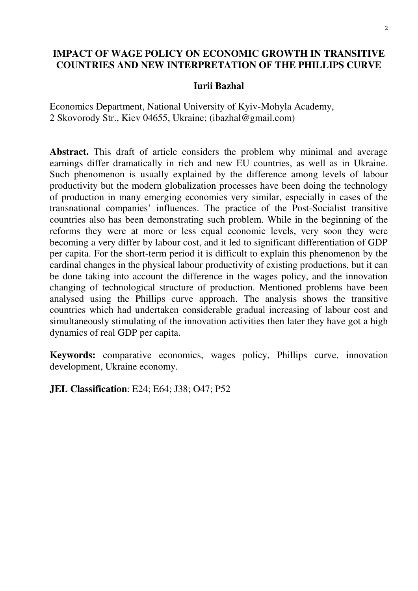# **IMPACT OF WAGE POLICY ON ECONOMIC GROWTH IN TRANSITIVE COUNTRIES AND NEW INTERPRETATION OF THE PHILLIPS CURVE**

## **Iurii Bazhal**

Economics Department, National University of Kyiv-Mohyla Academy, 2 Skovorody Str., Kiev 04655, Ukraine; (ibazhal@gmail.com)

Abstract. This draft of article considers the problem why minimal and average earnings differ dramatically in rich and new EU countries, as well as in Ukraine. Such phenomenon is usually explained by the difference among levels of labour productivity but the modern globalization processes have been doing the technology of production in many emerging economies very similar, especially in cases of the transnational companies' influences. The practice of the Post-Socialist transitive countries also has been demonstrating such problem. While in the beginning of the reforms they were at more or less equal economic levels, very soon they were becoming a very differ by labour cost, and it led to significant differentiation of GDP per capita. For the short-term period it is difficult to explain this phenomenon by the cardinal changes in the physical labour productivity of existing productions, but it can be done taking into account the difference in the wages policy, and the innovation changing of technological structure of production. Mentioned problems have been analysed using the Phillips curve approach. The analysis shows the transitive countries which had undertaken considerable gradual increasing of labour cost and simultaneously stimulating of the innovation activities then later they have got a high dynamics of real GDP per capita.

**Keywords:** comparative economics, wages policy, Phillips curve, innovation development, Ukraine economy.

**JEL Classification**: E24; E64; J38; O47; P52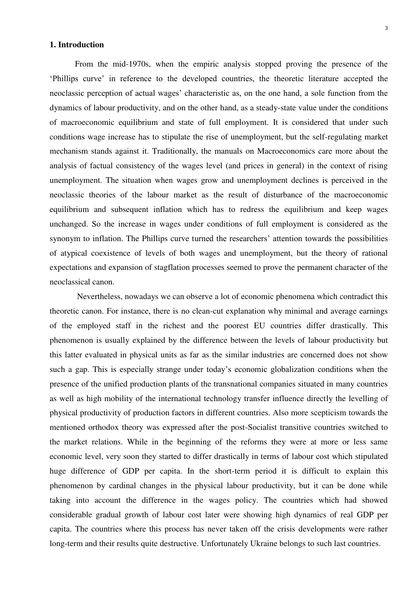## **1. Introduction**

From the mid-1970s, when the empiric analysis stopped proving the presence of the 'Phillips curve' in reference to the developed countries, the theoretic literature accepted the neoclassic perception of actual wages' characteristic as, on the one hand, a sole function from the dynamics of labour productivity, and on the other hand, as a steady-state value under the conditions of macroeconomic equilibrium and state of full employment. It is considered that under such conditions wage increase has to stipulate the rise of unemployment, but the self-regulating market mechanism stands against it. Traditionally, the manuals on Macroeconomics care more about the analysis of factual consistency of the wages level (and prices in general) in the context of rising unemployment. The situation when wages grow and unemployment declines is perceived in the neoclassic theories of the labour market as the result of disturbance of the macroeconomic equilibrium and subsequent inflation which has to redress the equilibrium and keep wages unchanged. So the increase in wages under conditions of full employment is considered as the synonym to inflation. The Phillips curve turned the researchers' attention towards the possibilities of atypical coexistence of levels of both wages and unemployment, but the theory of rational expectations and expansion of stagflation processes seemed to prove the permanent character of the neoclassical canon.

 Nevertheless, nowadays we can observe a lot of economic phenomena which contradict this theoretic canon. For instance, there is no clean-cut explanation why minimal and average earnings of the employed staff in the richest and the poorest EU countries differ drastically. This phenomenon is usually explained by the difference between the levels of labour productivity but this latter evaluated in physical units as far as the similar industries are concerned does not show such a gap. This is especially strange under today's economic globalization conditions when the presence of the unified production plants of the transnational companies situated in many countries as well as high mobility of the international technology transfer influence directly the levelling of physical productivity of production factors in different countries. Also more scepticism towards the mentioned orthodox theory was expressed after the post-Socialist transitive countries switched to the market relations. While in the beginning of the reforms they were at more or less same economic level, very soon they started to differ drastically in terms of labour cost which stipulated huge difference of GDP per capita. In the short-term period it is difficult to explain this phenomenon by cardinal changes in the physical labour productivity, but it can be done while taking into account the difference in the wages policy. The countries which had showed considerable gradual growth of labour cost later were showing high dynamics of real GDP per capita. The countries where this process has never taken off the crisis developments were rather long-term and their results quite destructive. Unfortunately Ukraine belongs to such last countries.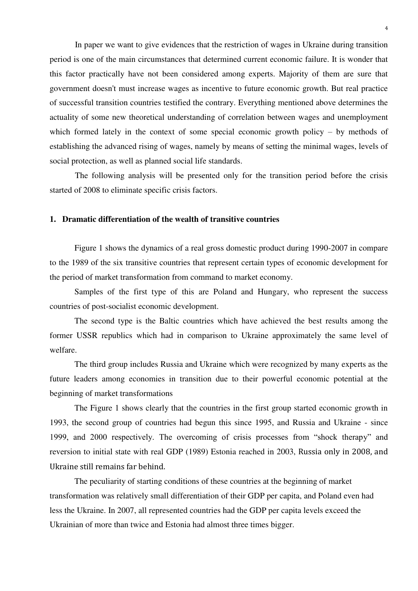In paper we want to give evidences that the restriction of wages in Ukraine during transition period is one of the main circumstances that determined current economic failure. It is wonder that this factor practically have not been considered among experts. Majority of them are sure that government doesn't must increase wages as incentive to future economic growth. But real practice of successful transition countries testified the contrary. Everything mentioned above determines the actuality of some new theoretical understanding of correlation between wages and unemployment which formed lately in the context of some special economic growth policy – by methods of establishing the advanced rising of wages, namely by means of setting the minimal wages, levels of social protection, as well as planned social life standards.

The following analysis will be presented only for the transition period before the crisis started of 2008 to eliminate specific crisis factors.

## **1. Dramatic differentiation of the wealth of transitive countries**

Figure 1 shows the dynamics of a real gross domestic product during 1990-2007 in compare to the 1989 of the six transitive countries that represent certain types of economic development for the period of market transformation from command to market economy.

Samples of the first type of this are Poland and Hungary, who represent the success countries of post-socialist economic development.

The second type is the Baltic countries which have achieved the best results among the former USSR republics which had in comparison to Ukraine approximately the same level of welfare.

The third group includes Russia and Ukraine which were recognized by many experts as the future leaders among economies in transition due to their powerful economic potential at the beginning of market transformations

The Figure 1 shows clearly that the countries in the first group started economic growth in 1993, the second group of countries had begun this since 1995, and Russia and Ukraine - since 1999, and 2000 respectively. The overcoming of crisis processes from "shock therapy" and reversion to initial state with real GDP (1989) Estonia reached in 2003, Russia only in 2008, and Ukraine still remains far behind.

The peculiarity of starting conditions of these countries at the beginning of market transformation was relatively small differentiation of their GDP per capita, and Poland even had less the Ukraine. In 2007, all represented countries had the GDP per capita levels exceed the Ukrainian of more than twice and Estonia had almost three times bigger.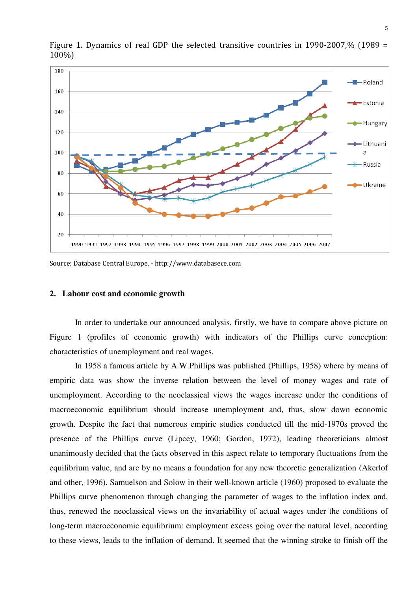

Figure 1. Dynamics of real GDP the selected transitive countries in 1990-2007,% (1989 = 100%)

Source: Database Central Europe. - http://www.databasece.com

#### **2. Labour cost and economic growth**

In order to undertake our announced analysis, firstly, we have to compare above picture on Figure 1 (profiles of economic growth) with indicators of the Phillips curve conception: characteristics of unemployment and real wages.

In 1958 a famous article by A.W.Phillips was published (Phillips, 1958) where by means of empiric data was show the inverse relation between the level of money wages and rate of unemployment. According to the neoclassical views the wages increase under the conditions of macroeconomic equilibrium should increase unemployment and, thus, slow down economic growth. Despite the fact that numerous empiric studies conducted till the mid-1970s proved the presence of the Phillips curve (Lipcey, 1960; Gordon, 1972), leading theoreticians almost unanimously decided that the facts observed in this aspect relate to temporary fluctuations from the equilibrium value, and are by no means a foundation for any new theoretic generalization (Akerlof and other, 1996). Samuelson and Solow in their well-known article (1960) proposed to evaluate the Phillips curve phenomenon through changing the parameter of wages to the inflation index and, thus, renewed the neoclassical views on the invariability of actual wages under the conditions of long-term macroeconomic equilibrium: employment excess going over the natural level, according to these views, leads to the inflation of demand. It seemed that the winning stroke to finish off the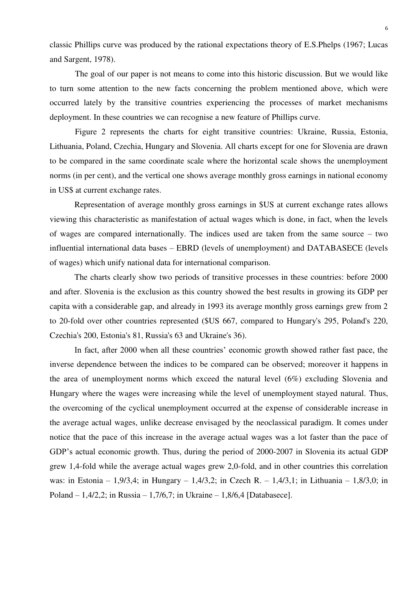classic Phillips curve was produced by the rational expectations theory of E.S.Phelps (1967; Lucas and Sargent, 1978).

The goal of our paper is not means to come into this historic discussion. But we would like to turn some attention to the new facts concerning the problem mentioned above, which were occurred lately by the transitive countries experiencing the processes of market mechanisms deployment. In these countries we can recognise a new feature of Phillips curve.

Figure 2 represents the charts for eight transitive countries: Ukraine, Russia, Estonia, Lithuania, Poland, Czechia, Hungary and Slovenia. All charts except for one for Slovenia are drawn to be compared in the same coordinate scale where the horizontal scale shows the unemployment norms (in per cent), and the vertical one shows average monthly gross earnings in national economy in US\$ at current exchange rates.

Representation of average monthly gross earnings in \$US at current exchange rates allows viewing this characteristic as manifestation of actual wages which is done, in fact, when the levels of wages are compared internationally. The indices used are taken from the same source – two influential international data bases – EBRD (levels of unemployment) and DATABASECE (levels of wages) which unify national data for international comparison.

The charts clearly show two periods of transitive processes in these countries: before 2000 and after. Slovenia is the exclusion as this country showed the best results in growing its GDP per capita with a considerable gap, and already in 1993 its average monthly gross earnings grew from 2 to 20-fold over other countries represented (\$US 667, compared to Hungary's 295, Poland's 220, Czechia's 200, Estonia's 81, Russia's 63 and Ukraine's 36).

In fact, after 2000 when all these countries' economic growth showed rather fast pace, the inverse dependence between the indices to be compared can be observed; moreover it happens in the area of unemployment norms which exceed the natural level (6%) excluding Slovenia and Hungary where the wages were increasing while the level of unemployment stayed natural. Thus, the overcoming of the cyclical unemployment occurred at the expense of considerable increase in the average actual wages, unlike decrease envisaged by the neoclassical paradigm. It comes under notice that the pace of this increase in the average actual wages was a lot faster than the pace of GDP's actual economic growth. Thus, during the period of 2000-2007 in Slovenia its actual GDP grew 1,4-fold while the average actual wages grew 2,0-fold, and in other countries this correlation was: in Estonia – 1,9/3,4; in Hungary – 1,4/3,2; in Czech R. – 1,4/3,1; in Lithuania – 1,8/3,0; in Poland – 1,4/2,2; in Russia – 1,7/6,7; in Ukraine – 1,8/6,4 [Databasece].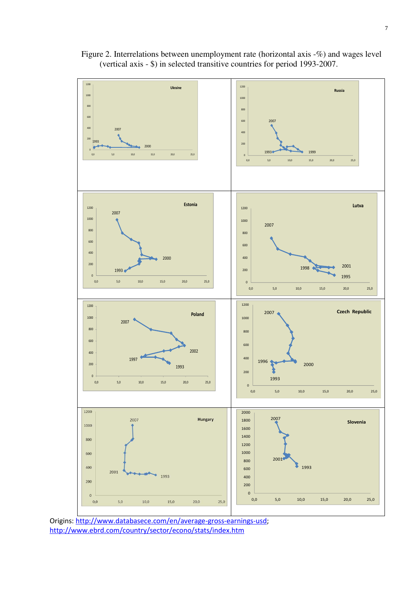

Figure 2. Interrelations between unemployment rate (horizontal axis -%) and wages level (vertical axis - \$) in selected transitive countries for period 1993-2007.

Origins[: http://www.databasece.com/en/average-gross-earnings-usd;](http://www.databasece.com/en/average-gross-earnings-usd) <http://www.ebrd.com/country/sector/econo/stats/index.htm>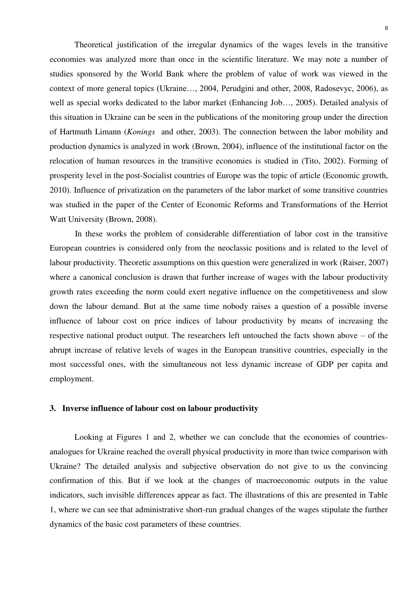Theoretical justification of the irregular dynamics of the wages levels in the transitive economies was analyzed more than once in the scientific literature. We may note a number of studies sponsored by the World Bank where the problem of value of work was viewed in the context of more general topics (Ukraine…, 2004, Perudgini and other, 2008, Radosevyc, 2006), as well as special works dedicated to the labor market (Enhancing Job…, 2005). Detailed analysis of this situation in Ukraine can be seen in the publications of the monitoring group under the direction of Hartmuth Limann (*Konings* and other, 2003). The connection between the labor mobility and production dynamics is analyzed in work (Brown, 2004), influence of the institutional factor on the relocation of human resources in the transitive economies is studied in (Tito, 2002). Forming of prosperity level in the post-Socialist countries of Europe was the topic of article (Economic growth, 2010). Influence of privatization on the parameters of the labor market of some transitive countries was studied in the paper of the Center of Economic Reforms and Transformations of the Herriot Watt University (Brown, 2008).

In these works the problem of considerable differentiation of labor cost in the transitive European countries is considered only from the neoclassic positions and is related to the level of labour productivity. Theoretic assumptions on this question were generalized in work (Raiser, 2007) where a canonical conclusion is drawn that further increase of wages with the labour productivity growth rates exceeding the norm could exert negative influence on the competitiveness and slow down the labour demand. But at the same time nobody raises a question of a possible inverse influence of labour cost on price indices of labour productivity by means of increasing the respective national product output. The researchers left untouched the facts shown above – of the abrupt increase of relative levels of wages in the European transitive countries, especially in the most successful ones, with the simultaneous not less dynamic increase of GDP per capita and employment.

#### **3. Inverse influence of labour cost on labour productivity**

Looking at Figures 1 and 2, whether we can conclude that the economies of countriesanalogues for Ukraine reached the overall physical productivity in more than twice comparison with Ukraine? The detailed analysis and subjective observation do not give to us the convincing confirmation of this. But if we look at the changes of macroeconomic outputs in the value indicators, such invisible differences appear as fact. The illustrations of this are presented in Table 1, where we can see that administrative short-run gradual changes of the wages stipulate the further dynamics of the basic cost parameters of these countries.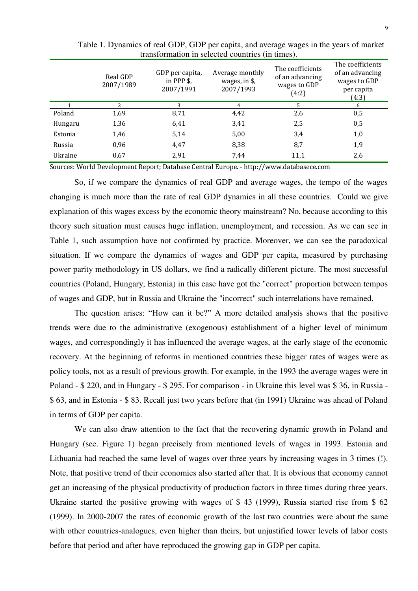|         | Real GDP<br>2007/1989 | GDP per capita,<br>in PPP $\frac{2}{3}$ ,<br>2007/1991 | Average monthly<br>wages, in \$,<br>2007/1993 | The coefficients<br>of an advancing<br>wages to GDP<br>(4:2) | The coefficients<br>of an advancing<br>wages to GDP<br>per capita<br>(4:3) |  |  |  |  |
|---------|-----------------------|--------------------------------------------------------|-----------------------------------------------|--------------------------------------------------------------|----------------------------------------------------------------------------|--|--|--|--|
|         | $\mathcal{P}$         | 3                                                      | 4                                             | .5                                                           | 6                                                                          |  |  |  |  |
| Poland  | 1,69                  | 8,71                                                   | 4,42                                          | 2,6                                                          | 0,5                                                                        |  |  |  |  |
| Hungaru | 1,36                  | 6,41                                                   | 3,41                                          | 2,5                                                          | 0,5                                                                        |  |  |  |  |
| Estonia | 1,46                  | 5,14                                                   | 5,00                                          | 3,4                                                          | 1,0                                                                        |  |  |  |  |
| Russia  | 0,96                  | 4,47                                                   | 8,38                                          | 8,7                                                          | 1,9                                                                        |  |  |  |  |
| Ukraine | 0,67                  | 2,91                                                   | 7.44                                          | 11,1                                                         | 2,6                                                                        |  |  |  |  |

Table 1. Dynamics of real GDP, GDP per capita, and average wages in the years of market transformation in selected countries (in times).

Sources: World Development Report; Database Central Europe. - http://www.databasece.com

So, if we compare the dynamics of real GDP and average wages, the tempo of the wages changing is much more than the rate of real GDP dynamics in all these countries. Could we give explanation of this wages excess by the economic theory mainstream? No, because according to this theory such situation must causes huge inflation, unemployment, and recession. As we can see in Table 1, such assumption have not confirmed by practice. Moreover, we can see the paradoxical situation. If we compare the dynamics of wages and GDP per capita, measured by purchasing power parity methodology in US dollars, we find a radically different picture. The most successful countries (Poland, Hungary, Estonia) in this case have got the "correct" proportion between tempos of wages and GDP, but in Russia and Ukraine the "incorrect" such interrelations have remained.

The question arises: "How can it be?" A more detailed analysis shows that the positive trends were due to the administrative (exogenous) establishment of a higher level of minimum wages, and correspondingly it has influenced the average wages, at the early stage of the economic recovery. At the beginning of reforms in mentioned countries these bigger rates of wages were as policy tools, not as a result of previous growth. For example, in the 1993 the average wages were in Poland - \$ 220, and in Hungary - \$ 295. For comparison - in Ukraine this level was \$ 36, in Russia - \$ 63, and in Estonia - \$ 83. Recall just two years before that (in 1991) Ukraine was ahead of Poland in terms of GDP per capita.

We can also draw attention to the fact that the recovering dynamic growth in Poland and Hungary (see. Figure 1) began precisely from mentioned levels of wages in 1993. Estonia and Lithuania had reached the same level of wages over three years by increasing wages in 3 times (!). Note, that positive trend of their economies also started after that. It is obvious that economy cannot get an increasing of the physical productivity of production factors in three times during three years. Ukraine started the positive growing with wages of \$ 43 (1999), Russia started rise from \$ 62 (1999). In 2000-2007 the rates of economic growth of the last two countries were about the same with other countries-analogues, even higher than theirs, but unjustified lower levels of labor costs before that period and after have reproduced the growing gap in GDP per capita.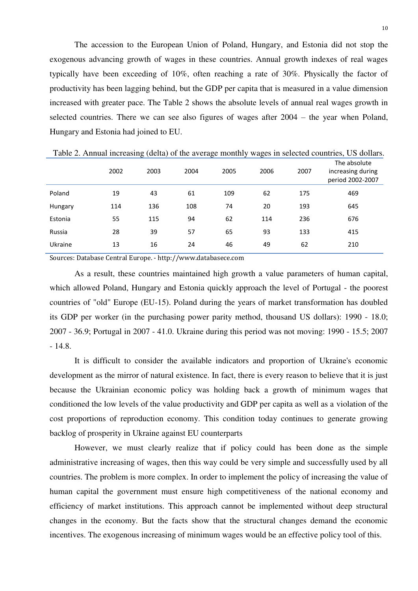The accession to the European Union of Poland, Hungary, and Estonia did not stop the exogenous advancing growth of wages in these countries. Annual growth indexes of real wages typically have been exceeding of 10%, often reaching a rate of 30%. Physically the factor of productivity has been lagging behind, but the GDP per capita that is measured in a value dimension increased with greater pace. The Table 2 shows the absolute levels of annual real wages growth in selected countries. There we can see also figures of wages after 2004 – the year when Poland, Hungary and Estonia had joined to EU.

|         |      | $\sim$ $\sim$<br>$\overline{\phantom{a}}$ |      | ັ    | ັ    |      | $\overline{\phantom{a}}$                              |
|---------|------|-------------------------------------------|------|------|------|------|-------------------------------------------------------|
|         | 2002 | 2003                                      | 2004 | 2005 | 2006 | 2007 | The absolute<br>increasing during<br>period 2002-2007 |
| Poland  | 19   | 43                                        | 61   | 109  | 62   | 175  | 469                                                   |
| Hungary | 114  | 136                                       | 108  | 74   | 20   | 193  | 645                                                   |
| Estonia | 55   | 115                                       | 94   | 62   | 114  | 236  | 676                                                   |
| Russia  | 28   | 39                                        | 57   | 65   | 93   | 133  | 415                                                   |
| Ukraine | 13   | 16                                        | 24   | 46   | 49   | 62   | 210                                                   |
|         |      |                                           |      |      |      |      |                                                       |

Table 2. Annual increasing (delta) of the average monthly wages in selected countries, US dollars.

Sources: Database Central Europe. - http://www.databasece.com

As a result, these countries maintained high growth a value parameters of human capital, which allowed Poland, Hungary and Estonia quickly approach the level of Portugal - the poorest countries of "old" Europe (EU-15). Poland during the years of market transformation has doubled its GDP per worker (in the purchasing power parity method, thousand US dollars): 1990 - 18.0; 2007 - 36.9; Portugal in 2007 - 41.0. Ukraine during this period was not moving: 1990 - 15.5; 2007 - 14.8.

It is difficult to consider the available indicators and proportion of Ukraine's economic development as the mirror of natural existence. In fact, there is every reason to believe that it is just because the Ukrainian economic policy was holding back a growth of minimum wages that conditioned the low levels of the value productivity and GDP per capita as well as a violation of the cost proportions of reproduction economy. This condition today continues to generate growing backlog of prosperity in Ukraine against EU counterparts

However, we must clearly realize that if policy could has been done as the simple administrative increasing of wages, then this way could be very simple and successfully used by all countries. The problem is more complex. In order to implement the policy of increasing the value of human capital the government must ensure high competitiveness of the national economy and efficiency of market institutions. This approach cannot be implemented without deep structural changes in the economy. But the facts show that the structural changes demand the economic incentives. The exogenous increasing of minimum wages would be an effective policy tool of this.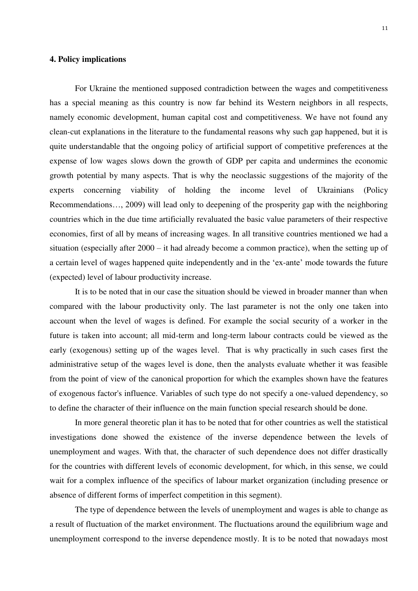### **4. Policy implications**

For Ukraine the mentioned supposed contradiction between the wages and competitiveness has a special meaning as this country is now far behind its Western neighbors in all respects, namely economic development, human capital cost and competitiveness. We have not found any clean-cut explanations in the literature to the fundamental reasons why such gap happened, but it is quite understandable that the ongoing policy of artificial support of competitive preferences at the expense of low wages slows down the growth of GDP per capita and undermines the economic growth potential by many aspects. That is why the neoclassic suggestions of the majority of the experts concerning viability of holding the income level of Ukrainians (Policy Recommendations…, 2009) will lead only to deepening of the prosperity gap with the neighboring countries which in the due time artificially revaluated the basic value parameters of their respective economies, first of all by means of increasing wages. In all transitive countries mentioned we had a situation (especially after 2000 – it had already become a common practice), when the setting up of a certain level of wages happened quite independently and in the 'ex-ante' mode towards the future (expected) level of labour productivity increase.

It is to be noted that in our case the situation should be viewed in broader manner than when compared with the labour productivity only. The last parameter is not the only one taken into account when the level of wages is defined. For example the social security of a worker in the future is taken into account; all mid-term and long-term labour contracts could be viewed as the early (exogenous) setting up of the wages level. That is why practically in such cases first the administrative setup of the wages level is done, then the analysts evaluate whether it was feasible from the point of view of the canonical proportion for which the examples shown have the features of exogenous factor's influence. Variables of such type do not specify a one-valued dependency, so to define the character of their influence on the main function special research should be done.

In more general theoretic plan it has to be noted that for other countries as well the statistical investigations done showed the existence of the inverse dependence between the levels of unemployment and wages. With that, the character of such dependence does not differ drastically for the countries with different levels of economic development, for which, in this sense, we could wait for a complex influence of the specifics of labour market organization (including presence or absence of different forms of imperfect competition in this segment).

The type of dependence between the levels of unemployment and wages is able to change as a result of fluctuation of the market environment. The fluctuations around the equilibrium wage and unemployment correspond to the inverse dependence mostly. It is to be noted that nowadays most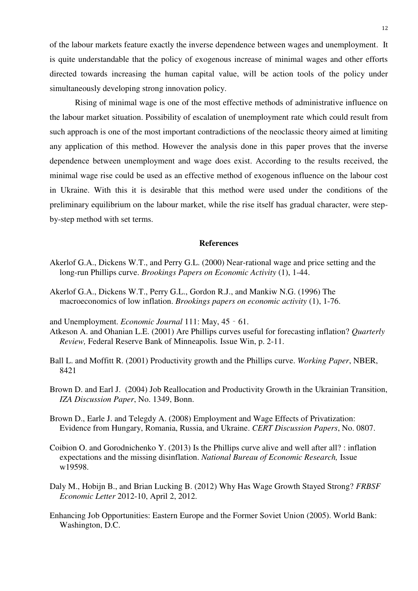of the labour markets feature exactly the inverse dependence between wages and unemployment. It is quite understandable that the policy of exogenous increase of minimal wages and other efforts directed towards increasing the human capital value, will be action tools of the policy under simultaneously developing strong innovation policy.

Rising of minimal wage is one of the most effective methods of administrative influence on the labour market situation. Possibility of escalation of unemployment rate which could result from such approach is one of the most important contradictions of the neoclassic theory aimed at limiting any application of this method. However the analysis done in this paper proves that the inverse dependence between unemployment and wage does exist. According to the results received, the minimal wage rise could be used as an effective method of exogenous influence on the labour cost in Ukraine. With this it is desirable that this method were used under the conditions of the preliminary equilibrium on the labour market, while the rise itself has gradual character, were stepby-step method with set terms.

#### **References**

- Akerlof G.A., Dickens W.T., and Perry G.L. (2000) [Near-rational wage and price setting and the](https://scholar.google.com/citations?view_op=view_citation&hl=en&user=IZRI-cIAAAAJ&citation_for_view=IZRI-cIAAAAJ:VL0QpB8kHFEC)  [long-run Phillips curve.](https://scholar.google.com/citations?view_op=view_citation&hl=en&user=IZRI-cIAAAAJ&citation_for_view=IZRI-cIAAAAJ:VL0QpB8kHFEC) *Brookings Papers on Economic Activity* (1), 1-44.
- Akerlof G.A., Dickens W.T., Perry G.L., Gordon R.J., and Mankiw N.G. (1996) [The](https://scholar.google.com/citations?view_op=view_citation&hl=en&user=IZRI-cIAAAAJ&citation_for_view=IZRI-cIAAAAJ:SdhP9T11ey4C)  [macroeconomics of low inflation.](https://scholar.google.com/citations?view_op=view_citation&hl=en&user=IZRI-cIAAAAJ&citation_for_view=IZRI-cIAAAAJ:SdhP9T11ey4C) *Brookings papers on economic activity* (1), 1-76.
- and Unemployment. *Economic Journal* 111: May, 45‐61.
- Atkeson A. and Ohanian L.E. (2001) Are Phillips curves useful for forecasting inflation? *Quarterly Review,* Federal Reserve Bank of Minneapolis*.* Issue Win, p. 2-11.
- Ball L. and Moffitt R. (2001) [Productivity growth and the Phillips curve.](http://www.nber.org/papers/w8421.pdf) *Working Paper*, NBER, 8421
- Brown D. and Earl J. (2004) Job Reallocation and Productivity Growth in the Ukrainian Transition, *IZA Discussion Paper*, No. 1349, Bonn.
- Brown D., Earle J. and Telegdy A. (2008) [Employment and Wage Effects of Privatization:](http://ideas.repec.org/p/hwe/certdp/0807.html)  [Evidence from Hungary, Romania, Russia, and Ukraine.](http://ideas.repec.org/p/hwe/certdp/0807.html) *[CERT Discussion Papers](http://ideas.repec.org/s/hwe/certdp.html)*, No. 0807.
- Coibion O. and Gorodnichenko Y. (2013) [Is the Phillips curve alive and well after all? : inflation](http://www.nber.org/papers/w19598)  [expectations and the missing disinflation.](http://www.nber.org/papers/w19598) *National Bureau of Economic Research,* Issue w19598.
- Daly M., Hobijn B., and Brian Lucking B. (2012) Why Has Wage Growth Stayed Strong? *FRBSF Economic Letter* 2012-10, April 2, 2012.
- Enhancing Job Opportunities: Eastern Europe and the Former Soviet Union (2005). World Bank: Washington, D.C.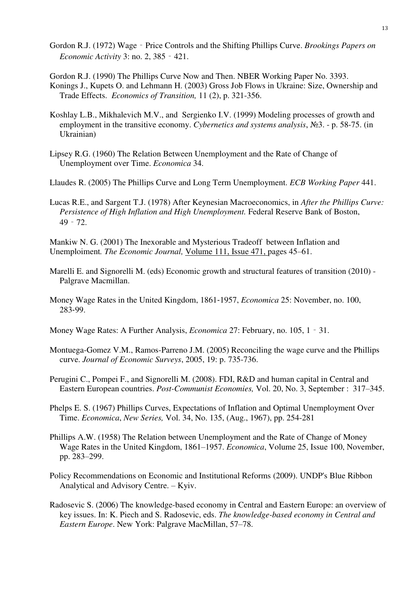- Gordon R.J. (1972) Wage‐Price Controls and the Shifting Phillips Curve. *Brookings Papers on Economic Activity* 3: no. 2, 385‐421.
- Gordon R.J. (1990) The Phillips Curve Now and Then. NBER Working Paper No. 3393.
- Konings J., Kupets O. and Lehmann H. (2003) Gross Job Flows in Ukraine: Size, Ownership and Trade Effects. *Economics of Transition,* 11 (2), p. 321-356.
- Koshlay L.B., Mikhalevich M.V., and Sergienko I.V. (1999) Modeling processes of growth and employment in the transitive economy. *Cybernetics and systems analysis*, №3. - p. 58-75. (in Ukrainian)
- Lipsey R.G. (1960) The Relation Between Unemployment and the Rate of Change of Unemployment over Time. *Economica* 34.
- Llaudes R. (2005) The Phillips Curve and Long Term Unemployment. *ECB Working Paper* 441.
- Lucas R.E., and Sargent T.J. (1978) After Keynesian Macroeconomics, in *After the Phillips Curve: Persistence of High Inflation and High Unemployment.* Federal Reserve Bank of Boston, 49‐72.

Mankiw N. G. (2001) The Inexorable and Mysterious Tradeoff between Inflation and Unemploiment*. The Economic Journal,* [Volume 111, Issue 471, p](http://onlinelibrary.wiley.com/doi/10.1111/ecoj.2001.111.issue-471/issuetoc)ages 45–61.

- Marelli E. and [Signorelli](https://scholar.google.com/citations?user=sLQcdOkAAAAJ&hl=en&oi=sra) M. (eds) Economic growth and structural features of transition (2010) Palgrave Macmillan.
- Money Wage Rates in the United Kingdom, 1861‐1957, *Economica* 25: November, no. 100, 283‐99.
- Money Wage Rates: A Further Analysis, *Economica* 27: February, no. 105, 1‐31.
- Montuega-Gomez V.M., Ramos-Parreno J.M. (2005) Reconciling the wage curve and the Phillips curve. *Journal of Economic Surveys*, 2005, 19: p. 735-736.
- Perugini C., Pompei F., and Signorelli M. (2008). FDI, R&D and human capital in Central and Eastern European countries. *Post-Communist Economies,* Vol. 20, No. 3, September : 317–345.
- Phelps E. S. (1967) Phillips Curves, Expectations of Inflation and Optimal Unemployment Over Time. *Economica*, *New Series,* Vol. 34, No. 135, (Aug., 1967), pp. 254-281
- Phillips A.W. (1958) The Relation between Unemployment and the Rate of Change of Money Wage Rates in the United Kingdom, 1861–1957. *Economica*, [Volume 25, Issue 100,](http://onlinelibrary.wiley.com/doi/10.1111/ecca.1958.25.issue-100/issuetoc) November, pp. 283–299.
- [Policy Recommendations on Economic and Institutional Reforms \(2009\)](http://brc.undp.org.ua/img/publications/Policy%20Recommendations%202009_eng_final.pdf). UNDP's Blue Ribbon Analytical and Advisory Centre. – Kyiv.
- Radosevic S. (2006) The knowledge-based economy in Central and Eastern Europe: an overview of key issues. In: K. Piech and S. Radosevic, eds. *The knowledge-based economy in Central and Eastern Europe*. New York: Palgrave MacMillan, 57–78.